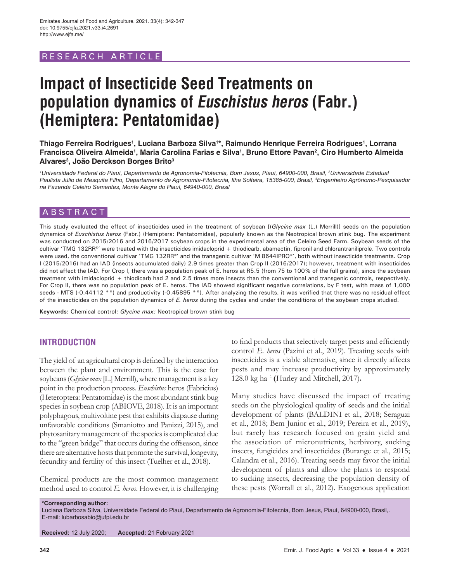# RESEARCH ARTICL

# **Impact of Insecticide Seed Treatments on population dynamics of Euschistus heros (Fabr.) (Hemiptera: Pentatomidae)**

**Thiago Ferreira Rodrigues1 , Luciana Barboza Silva1 \*, Raimundo Henrique Ferreira Rodrigues1 , Lorrana**  Francisca Oliveira Almeida<sup>ı</sup>, Maria Carolina Farias e Silva<sup>ı</sup>, Bruno Ettore Pavan<sup>2</sup>, Ciro Humberto Almeida **Alvares3 , João Derckson Borges Brito3**

*1 Universidade Federal do Piauí, Departamento de Agronomia-Fitotecnia, Bom Jesus, Piauí, 64900-000, Brasil, 2 Universidade Estadual Paulista Júlio de Mesquita Filho, Departamento de Agronomia-Fitotecnia, Ilha Solteira, 15385-000, Brasil, 3 Engenheiro Agrônomo-Pesquisador na Fazenda Celeiro Sementes, Monte Alegre do Piauí, 64940-000, Brasil*

## **ABSTRACT**

This study evaluated the effect of insecticides used in the treatment of soybean [(*Glycine max* (L.) Merrill)] seeds on the population dynamics of *Euschistus heros* (Fabr.) (Hemiptera: Pentatomidae), popularly known as the Neotropical brown stink bug. The experiment was conducted on 2015/2016 and 2016/2017 soybean crops in the experimental area of the Celeiro Seed Farm. Soybean seeds of the cultivar 'TMG 132RR®' were treated with the insecticides imidacloprid + thiodicarb, abamectin, fipronil and chlorantraniliprole. Two controls were used, the conventional cultivar 'TMG 132RR®' and the transgenic cultivar 'M 8644IPRO®', both without insecticide treatments. Crop I (2015/2016) had an IAD (insects accumulated daily) 2.9 times greater than Crop II (2016/2017); however, treatment with insecticides did not affect the IAD. For Crop I, there was a population peak of E. heros at R5.5 (from 75 to 100% of the full grains), since the soybean treatment with imidacloprid + thiodicarb had 2 and 2.5 times more insects than the conventional and transgenic controls, respectively. For Crop II, there was no population peak of E. heros. The IAD showed significant negative correlations, by F test, with mass of 1,000 seeds - MTS (-0.44112 \*\*) and productivity (-0.45895 \*\*). After analyzing the results, it was verified that there was no residual effect of the insecticides on the population dynamics of *E. heros* during the cycles and under the conditions of the soybean crops studied.

**Keywords:** Chemical control; *Glycine max;* Neotropical brown stink bug

# **INTRODUCTION**

The yield of an agricultural crop is defined by the interaction between the plant and environment. This is the case for soybeans (*Glycine max* [L.] Merrill), where management is a key point in the production process. *Euschistus* heros (Fabricius) (Heteroptera: Pentatomidae) is the most abundant stink bug species in soybean crop (ABIOVE, 2018). It is an important polyphagous, multivoltine pest that exhibits diapause during unfavorable conditions (Smaniotto and Panizzi, 2015), and phytosanitary management of the species is complicated due to the "green bridge" that occurs during the offseason, since there are alternative hosts that promote the survival, longevity, fecundity and fertility of this insect (Tuelher et al., 2018).

Chemical products are the most common management method used to control *E. heros*. However, it is challenging to find products that selectively target pests and efficiently control *E. heros* (Pazini et al., 2019). Treating seeds with insecticides is a viable alternative, since it directly affects pests and may increase productivity by approximately 128.0 kg ha -1 **(**Hurley and Mitchell, 2017)**.**

Many studies have discussed the impact of treating seeds on the physiological quality of seeds and the initial development of plants (BALDINI et al., 2018; Seraguzi et al., 2018; Bem Junior et al., 2019; Pereira et al., 2019), but rarely has research focused on grain yield and the association of micronutrients, herbivory, sucking insects, fungicides and insecticides (Burange et al., 2015; Calandra et al., 2016). Treating seeds may favor the initial development of plants and allow the plants to respond to sucking insects, decreasing the population density of these pests (Worrall et al., 2012). Exogenous application

**\*Corresponding author:** Luciana Barboza Silva, Universidade Federal do Piauí, Departamento de Agronomia-Fitotecnia, Bom Jesus, Piauí, 64900-000, Brasil,. E-mail: lubarbosabio@ufpi.edu.br

**Received:** 12 July 2020; **Accepted:** 21 February 2021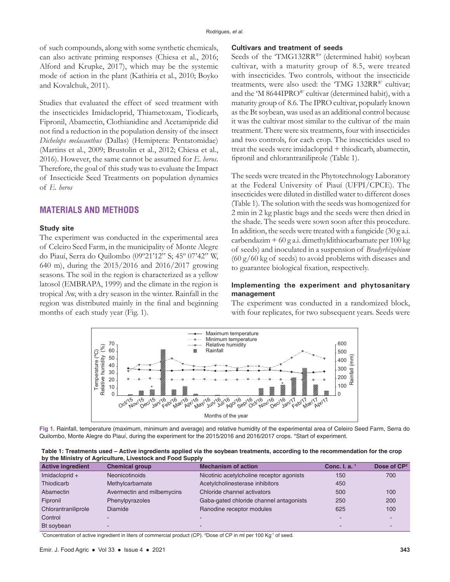of such compounds, along with some synthetic chemicals, can also activate priming responses (Chiesa et al., 2016; Alford and Krupke, 2017), which may be the systemic mode of action in the plant (Kathiria et al., 2010; Boyko and Kovalchuk, 2011).

Studies that evaluated the effect of seed treatment with the insecticides Imidacloprid, Thiametoxam, Tiodicarb, Fipronil, Abamectin, Clothianidine and Acetamipride did not find a reduction in the population density of the insect *Dichelops melacanthus* (Dallas) (Hemiptera: Pentatomidae) (Martins et al., 2009; Brustolin et al., 2012; Chiesa et al., 2016). However, the same cannot be assumed for *E. heros*. Therefore, the goal of this study was to evaluate the Impact of Insecticide Seed Treatments on population dynamics of *E. heros*

## **MATERIALS AND METHODS**

#### **Study site**

The experiment was conducted in the experimental area of Celeiro Seed Farm, in the municipality of Monte Alegre do Piauí, Serra do Quilombo (09º21'12" S; 45º 07'42" W, 640 m), during the 2015/2016 and 2016/2017 growing seasons. The soil in the region is characterized as a yellow latosol (EMBRAPA, 1999) and the climate in the region is tropical Aw, with a dry season in the winter. Rainfall in the region was distributed mainly in the final and beginning months of each study year (Fig. 1).

#### **Cultivars and treatment of seeds**

Seeds of the 'TMG132RR®' (determined habit) soybean cultivar, with a maturity group of 8.5, were treated with insecticides. Two controls, without the insecticide treatments, were also used: the 'TMG 132RR®' cultivar; and the 'M 8644IPRO®' cultivar (determined habit), with a maturity group of 8.6. The IPRO cultivar, popularly known as the Bt soybean, was used as an additional control because it was the cultivar most similar to the cultivar of the main treatment. There were six treatments, four with insecticides and two controls, for each crop. The insecticides used to treat the seeds were imidacloprid + thiodicarb, abamectin, fipronil and chlorantraniliprole (Table 1).

The seeds were treated in the Phytotechnology Laboratory at the Federal University of Piauí (UFPI/CPCE). The insecticides were diluted in distilled water to different doses (Table 1). The solution with the seeds was homogenized for 2 min in 2 kg plastic bags and the seeds were then dried in the shade. The seeds were sown soon after this procedure. In addition, the seeds were treated with a fungicide (30 g a.i. carbendazim + 60 g a.i. dimethyldithiocarbamate per 100 kg of seeds) and inoculated in a suspension of *Bradyrhizobium*  (60 g/60 kg of seeds) to avoid problems with diseases and to guarantee biological fixation, respectively.

#### **Implementing the experiment and phytosanitary management**

The experiment was conducted in a randomized block, with four replicates, for two subsequent years. Seeds were



**Fig 1.** Rainfall, temperature (maximum, minimum and average) and relative humidity of the experimental area of Celeiro Seed Farm, Serra do Quilombo, Monte Alegre do Piauí, during the experiment for the 2015/2016 and 2016/2017 crops. \*Start of experiment.

| Table 1: Treatments used – Active ingredients applied via the soybean treatments, according to the recommendation for the crop |  |
|--------------------------------------------------------------------------------------------------------------------------------|--|
| by the Ministry of Agriculture, Livestock and Food Supply                                                                      |  |

| <b>Active ingredient</b> | <b>Chemical group</b>      | <b>Mechanism of action</b>                | Conc. I. a. 1 | Dose of CP <sup>2</sup> |
|--------------------------|----------------------------|-------------------------------------------|---------------|-------------------------|
| Imidacloprid +           | Neonicotinoids             | Nicotinic acetylcholine receptor agonists | 150           | 700                     |
| Thiodicarb               | Methylcarbamate            | Acetylcholinesterase inhibitors           | 450           |                         |
| Abamectin                | Avermectin and milbemycins | Chloride channel activators               | 500           | 100                     |
| Fipronil                 | Phenylpyrazoles            | Gaba-gated chloride channel antagonists   | 250           | 200                     |
| Chlorantraniliprole      | Diamide                    | Ranodine receptor modules                 | 625           | 100                     |
| Control                  |                            | ٠                                         |               |                         |
| Bt soybean               | -                          | -                                         |               |                         |

1 Concentration of active ingredient in liters of commercial product (CP). 2 Dose of CP in ml per 100 Kg-1 of seed.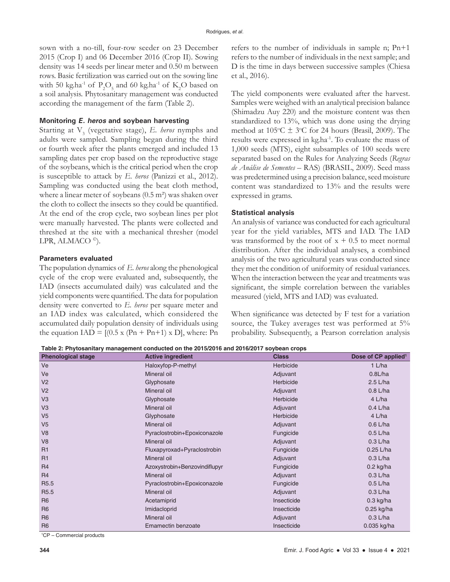sown with a no-till, four-row seeder on 23 December 2015 (Crop I) and 06 December 2016 (Crop II). Sowing density was 14 seeds per linear meter and 0.50 m between rows. Basic fertilization was carried out on the sowing line with 50 kg.ha<sup>-1</sup> of  $P_2O_5$  and 60 kg.ha<sup>-1</sup> of K<sub>2</sub>O based on a soil analysis. Phytosanitary management was conducted according the management of the farm (Table 2).

#### **Monitoring E. heros and soybean harvesting**

Starting at V<sub>3</sub> (vegetative stage), *E. heros* nymphs and adults were sampled. Sampling began during the third or fourth week after the plants emerged and included 13 sampling dates per crop based on the reproductive stage of the soybeans, which is the critical period when the crop is susceptible to attack by *E. heros* (Panizzi et al., 2012). Sampling was conducted using the beat cloth method, where a linear meter of soybeans  $(0.5 \text{ m}^2)$  was shaken over the cloth to collect the insects so they could be quantified. At the end of the crop cycle, two soybean lines per plot were manually harvested. The plants were collected and threshed at the site with a mechanical thresher (model LPR, ALMACO $\degree$ ).

#### **Parameters evaluated**

The population dynamics of *E. heros* along the phenological cycle of the crop were evaluated and, subsequently, the IAD (insects accumulated daily) was calculated and the yield components were quantified. The data for population density were converted to *E. heros* per square meter and an IAD index was calculated, which considered the accumulated daily population density of individuals using the equation IAD =  $[(0.5 \times (Pn + Pn+1) \times D)]$ , where: Pn refers to the number of individuals in sample n; Pn+1 refers to the number of individuals in the next sample; and D is the time in days between successive samples (Chiesa et al., 2016).

The yield components were evaluated after the harvest. Samples were weighed with an analytical precision balance (Shimadzu Auy 220) and the moisture content was then standardized to 13%, which was done using the drying method at  $105^{\circ}$ C  $\pm$  3°C for 24 hours (Brasil, 2009). The results were expressed in kg.ha-1. To evaluate the mass of 1,000 seeds (MTS), eight subsamples of 100 seeds were separated based on the Rules for Analyzing Seeds (*Regras de Análise de Sementes* – RAS) (BRASIL, 2009). Seed mass was predetermined using a precision balance, seed moisture content was standardized to 13% and the results were expressed in grams.

#### **Statistical analysis**

An analysis of variance was conducted for each agricultural year for the yield variables, MTS and IAD. The IAD was transformed by the root of  $x + 0.5$  to meet normal distribution. After the individual analyses, a combined analysis of the two agricultural years was conducted since they met the condition of uniformity of residual variances. When the interaction between the year and treatments was significant, the simple correlation between the variables measured (yield, MTS and IAD) was evaluated.

When significance was detected by F test for a variation source, the Tukey averages test was performed at 5% probability. Subsequently, a Pearson correlation analysis

**Table 2: Phytosanitary management conducted on the 2015/2016 and 2016/2017 soybean crops**

| <b>Phenological stage</b> | <b>Active ingredient</b>      | <b>Class</b> | Dose of CP applied <sup>1</sup> |
|---------------------------|-------------------------------|--------------|---------------------------------|
| Ve                        | Haloxyfop-P-methyl            | Herbicide    | $1$ L/ha                        |
| Ve                        | Mineral oil                   | Adjuvant     | 0.8L/ha                         |
| V <sub>2</sub>            | Glyphosate                    | Herbicide    | $2.5$ L/ha                      |
| V <sub>2</sub>            | Mineral oil                   | Adjuvant     | $0.8$ L/ha                      |
| V <sub>3</sub>            | Glyphosate                    | Herbicide    | 4 L/ha                          |
| V <sub>3</sub>            | Mineral oil                   | Adjuvant     | $0.4$ L/ha                      |
| V <sub>5</sub>            | Glyphosate                    | Herbicide    | 4 L/ha                          |
| V <sub>5</sub>            | Mineral oil                   | Adjuvant     | $0.6$ L/ha                      |
| V <sub>8</sub>            | Pyraclostrobin+Epoxiconazole  | Fungicide    | $0.5$ L/ha                      |
| V <sub>8</sub>            | Mineral oil                   | Adjuvant     | $0.3$ L/ha                      |
| R1                        | Fluxapyroxad+Pyraclostrobin   | Fungicide    | 0.25 L/ha                       |
| R1                        | Mineral oil                   | Adjuvant     | $0.3$ L/ha                      |
| R <sub>4</sub>            | Azoxystrobin+Benzovindiflupyr | Fungicide    | $0.2$ kg/ha                     |
| R <sub>4</sub>            | Mineral oil                   | Adjuvant     | $0.3$ L/ha                      |
| R <sub>5.5</sub>          | Pyraclostrobin+Epoxiconazole  | Fungicide    | $0.5$ L/ha                      |
| R <sub>5.5</sub>          | Mineral oil                   | Adjuvant     | $0.3$ L/ha                      |
| R <sub>6</sub>            | Acetamiprid                   | Insecticide  | $0.3$ kg/ha                     |
| R <sub>6</sub>            | Imidacloprid                  | Insecticide  | 0.25 kg/ha                      |
| R <sub>6</sub>            | Mineral oil                   | Adjuvant     | $0.3$ L/ha                      |
| R <sub>6</sub>            | Emamectin benzoate            | Insecticide  | 0.035 kg/ha                     |

1 CP – Commercial products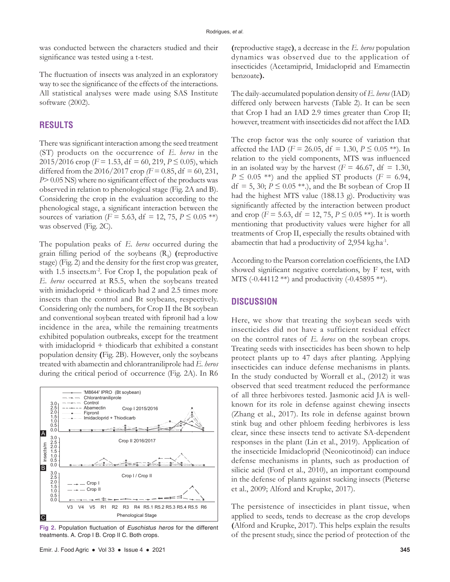was conducted between the characters studied and their significance was tested using a t-test.

The fluctuation of insects was analyzed in an exploratory way to see the significance of the effects of the interactions. All statistical analyses were made using SAS Institute software (2002).

## **RESULTS**

There was significant interaction among the seed treatment (ST) products on the occurrence of *E. heros* in the 2015/2016 crop ( $F = 1.53$ , df = 60, 219,  $P \le 0.05$ ), which differed from the 2016/2017 crop  $/F = 0.85$ , df = 60, 231, *P*> 0.05 NS) where no significant effect of the products was observed in relation to phenological stage (Fig. 2A and B). Considering the crop in the evaluation according to the phenological stage, a significant interaction between the sources of variation (*F* = 5.63, df = 12, 75, *P*  $\leq$  0.05 \*\*) was observed (Fig. 2C).

The population peaks of *E. heros* occurred during the grain filling period of the soybeans (R<sub>5</sub>) (reproductive stage) (Fig. 2) and the density for the first crop was greater, with 1.5 insects.m<sup>-2</sup>. For Crop I, the population peak of *E. heros* occurred at R5.5, when the soybeans treated with imidacloprid + thiodicarb had 2 and 2.5 times more insects than the control and Bt soybeans, respectively. Considering only the numbers, for Crop II the Bt soybean and conventional soybean treated with fipronil had a low incidence in the area, while the remaining treatments exhibited population outbreaks, except for the treatment with imidacloprid + thiodicarb that exhibited a constant population density **(**Fig. 2B). However, only the soybeans treated with abamectin and chlorantraniliprole had *E. heros* during the critical period of occurrence (Fig. 2A). In R6



**Fig 2.** Population fluctuation of *Euschistus heros* for the different treatments. A. Crop I B. Crop II C. Both crops.

**(**reproductive stage**)**, a decrease in the *E. heros* population dynamics was observed due to the application of insecticides (Acetamiprid, Imidacloprid and Emamectin benzoate**).**

The daily-accumulated population density of *E. heros* (IAD) differed only between harvests (Table 2). It can be seen that Crop I had an IAD 2.9 times greater than Crop II; however, treatment with insecticides did not affect the IAD.

The crop factor was the only source of variation that affected the IAD ( $F = 26.05$ , df = 1.30,  $P \le 0.05$  \*\*). In relation to the yield components, MTS was influenced in an isolated way by the harvest  $(F = 46.67, df = 1.30,$  $P \leq 0.05$  \*\*) and the applied ST products (*F* = 6.94,  $df = 5$ , 30;  $P \le 0.05$  \*\*.), and the Bt soybean of Crop II had the highest MTS value (188.13 g). Productivity was significantly affected by the interaction between product and crop ( $F = 5.63$ , df = 12, 75,  $P \le 0.05$ \*\*). It is worth mentioning that productivity values were higher for all treatments of Crop II, especially the results obtained with abamectin that had a productivity of 2,954 kg.ha-1.

According to the Pearson correlation coefficients, the IAD showed significant negative correlations, by F test, with MTS (-0.44112 \*\*) and productivity (-0.45895 \*\*).

#### **DISCUSSION**

Here, we show that treating the soybean seeds with insecticides did not have a sufficient residual effect on the control rates of *E. heros* on the soybean crops. Treating seeds with insecticides has been shown to help protect plants up to 47 days after planting. Applying insecticides can induce defense mechanisms in plants. In the study conducted by Worrall et al., (2012) it was observed that seed treatment reduced the performance of all three herbivores tested. Jasmonic acid JA is wellknown for its role in defense against chewing insects (Zhang et al., 2017). Its role in defense against brown stink bug and other phloem feeding herbivores is less clear, since these insects tend to activate SA-dependent responses in the plant (Lin et al., 2019). Application of the insecticide Imidacloprid (Neonicotinoid) can induce defense mechanisms in plants, such as production of silicic acid (Ford et al., 2010), an important compound in the defense of plants against sucking insects (Pieterse et al., 2009; Alford and Krupke, 2017).

The persistence of insecticides in plant tissue, when applied to seeds, tends to decrease as the crop develops **(**Alford and Krupke, 2017). This helps explain the results of the present study, since the period of protection of the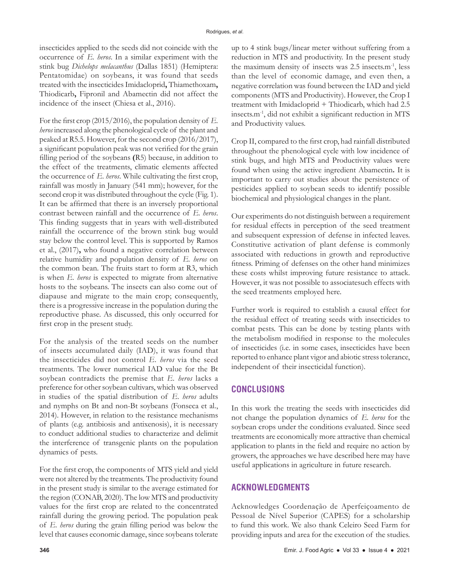insecticides applied to the seeds did not coincide with the occurrence of *E. heros*. In a similar experiment with the stink bug *Dichelops melacanthus* (Dallas 1851) (Hemiptera: Pentatomidae) on soybeans, it was found that seeds treated with the insecticides Imidacloprid**,** Thiamethoxam**,**  Thiodicarb**,** Fipronil and Abamectin did not affect the incidence of the insect (Chiesa et al., 2016).

For the first crop (2015/2016), the population density of *E. heros* increased along the phenological cycle of the plant and peaked at R5.5. However, for the second crop (2016/2017), a significant population peak was not verified for the grain filling period of the soybeans **(**R5) because, in addition to the effect of the treatments, climatic elements affected the occurrence of *E. heros*. While cultivating the first crop, rainfall was mostly in January (541 mm); however, for the second crop it was distributed throughout the cycle (Fig. 1). It can be affirmed that there is an inversely proportional contrast between rainfall and the occurrence of *E. heros*. This finding suggests that in years with well-distributed rainfall the occurrence of the brown stink bug would stay below the control level. This is supported by Ramos et al., (2017)**,** who found a negative correlation between relative humidity and population density of *E. heros* on the common bean. The fruits start to form at R3, which is when *E. heros* is expected to migrate from alternative hosts to the soybeans. The insects can also come out of diapause and migrate to the main crop; consequently, there is a progressive increase in the population during the reproductive phase. As discussed, this only occurred for first crop in the present study.

For the analysis of the treated seeds on the number of insects accumulated daily (IAD), it was found that the insecticides did not control *E. heros* via the seed treatments. The lower numerical IAD value for the Bt soybean contradicts the premise that *E. heros* lacks a preference for other soybean cultivars, which was observed in studies of the spatial distribution of *E. heros* adults and nymphs on Bt and non-Bt soybeans (Fonseca et al., 2014). However, in relation to the resistance mechanisms of plants (e.g. antibiosis and antixenosis), it is necessary to conduct additional studies to characterize and delimit the interference of transgenic plants on the population dynamics of pests.

For the first crop, the components of MTS yield and yield were not altered by the treatments. The productivity found in the present study is similar to the average estimated for the region (CONAB, 2020). The low MTS and productivity values for the first crop are related to the concentrated rainfall during the growing period. The population peak of *E. heros* during the grain filling period was below the level that causes economic damage, since soybeans tolerate

up to 4 stink bugs/linear meter without suffering from a reduction in MTS and productivity. In the present study the maximum density of insects was 2.5 insects.m-1, less than the level of economic damage, and even then, a negative correlation was found between the IAD and yield components (MTS and Productivity). However, the Crop I treatment with Imidacloprid + Thiodicarb, which had 2.5 insects.m-1, did not exhibit a significant reduction in MTS and Productivity values.

Crop II, compared to the first crop, had rainfall distributed throughout the phenological cycle with low incidence of stink bugs, and high MTS and Productivity values were found when using the active ingredient Abamectin**.** It is important to carry out studies about the persistence of pesticides applied to soybean seeds to identify possible biochemical and physiological changes in the plant.

Our experiments do not distinguish between a requirement for residual effects in perception of the seed treatment and subsequent expression of defense in infected leaves. Constitutive activation of plant defense is commonly associated with reductions in growth and reproductive fitness. Priming of defenses on the other hand minimizes these costs whilst improving future resistance to attack. However, it was not possible to associatesuch effects with the seed treatments employed here.

Further work is required to establish a causal effect for the residual effect of treating seeds with insecticides to combat pests. This can be done by testing plants with the metabolism modified in response to the molecules of insecticides (i.e. in some cases, insecticides have been reported to enhance plant vigor and abiotic stress tolerance, independent of their insecticidal function).

# **CONCLUSIONS**

In this work the treating the seeds with insecticides did not change the population dynamics of *E. heros* for the soybean crops under the conditions evaluated. Since seed treatments are economically more attractive than chemical application to plants in the field and require no action by growers, the approaches we have described here may have useful applications in agriculture in future research.

# **ACKNOWLEDGMENTS**

Acknowledges Coordenação de Aperfeiçoamento de Pessoal de Nível Superior (CAPES) for a scholarship to fund this work. We also thank Celeiro Seed Farm for providing inputs and area for the execution of the studies.